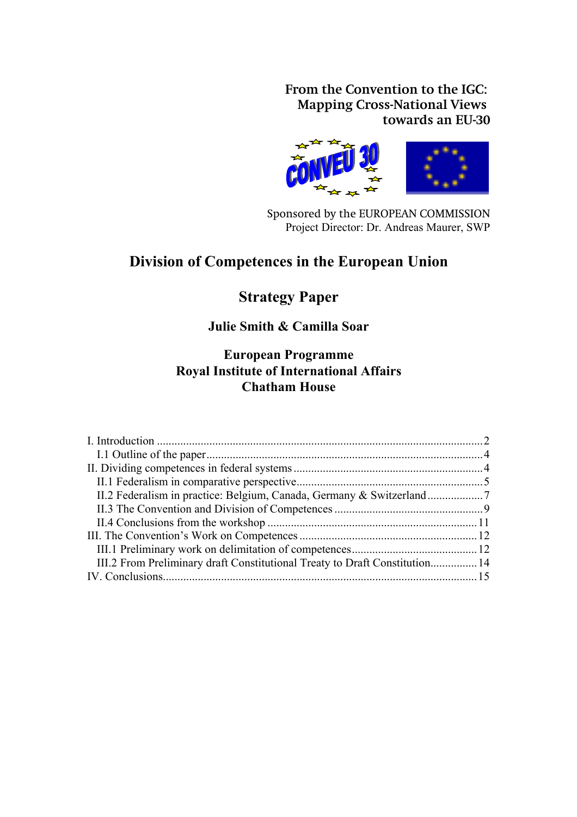**From the Convention to the IGC: Mapping Cross-National Views towards an EU-30**



Sponsored by the EUROPEAN COMMISSION Project Director: Dr. Andreas Maurer, SWP

# **Division of Competences in the European Union**

# **Strategy Paper**

# **Julie Smith & Camilla Soar**

# **European Programme Royal Institute of International Affairs Chatham House**

| III.2 From Preliminary draft Constitutional Treaty to Draft Constitution 14 |  |
|-----------------------------------------------------------------------------|--|
|                                                                             |  |
|                                                                             |  |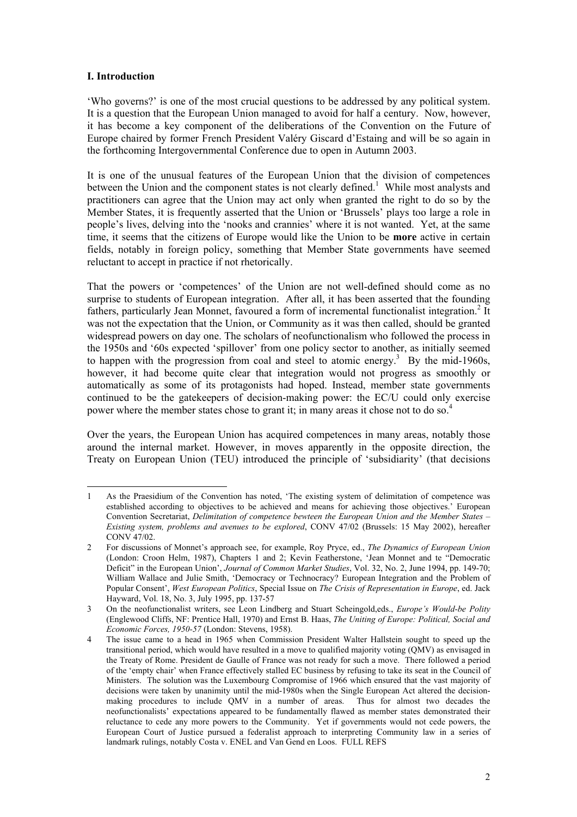# <span id="page-1-0"></span>**I. Introduction**

'Who governs?' is one of the most crucial questions to be addressed by any political system. It is a question that the European Union managed to avoid for half a century. Now, however, it has become a key component of the deliberations of the Convention on the Future of Europe chaired by former French President Valéry Giscard d'Estaing and will be so again in the forthcoming Intergovernmental Conference due to open in Autumn 2003.

It is one of the unusual features of the European Union that the division of competences between the Union and the component states is not clearly defined.<sup>[1](#page-1-1)</sup> While most analysts and practitioners can agree that the Union may act only when granted the right to do so by the Member States, it is frequently asserted that the Union or 'Brussels' plays too large a role in people's lives, delving into the 'nooks and crannies' where it is not wanted. Yet, at the same time, it seems that the citizens of Europe would like the Union to be **more** active in certain fields, notably in foreign policy, something that Member State governments have seemed reluctant to accept in practice if not rhetorically.

That the powers or 'competences' of the Union are not well-defined should come as no surprise to students of European integration. After all, it has been asserted that the founding fathers, particularly Jean Monnet, favoured a form of incremental functionalist integration.<sup>2</sup> It was not the expectation that the Union, or Community as it was then called, should be granted widespread powers on day one. The scholars of neofunctionalism who followed the process in the 1950s and '60s expected 'spillover' from one policy sector to another, as initially seemed to happen with the progression from coal and steel to atomic energy.<sup>3</sup> By the mid-1960s, however, it had become quite clear that integration would not progress as smoothly or automatically as some of its protagonists had hoped. Instead, member state governments continued to be the gatekeepers of decision-making power: the EC/U could only exercise power where the member states chose to grant it; in many areas it chose not to do so.<sup>4</sup>

Over the years, the European Union has acquired competences in many areas, notably those around the internal market. However, in moves apparently in the opposite direction, the Treaty on European Union (TEU) introduced the principle of 'subsidiarity' (that decisions

<span id="page-1-1"></span>l 1 As the Praesidium of the Convention has noted, 'The existing system of delimitation of competence was established according to objectives to be achieved and means for achieving those objectives.' European Convention Secretariat, *Delimitation of competence bewteen the European Union and the Member States – Existing system, problems and avenues to be explored*, CONV 47/02 (Brussels: 15 May 2002), hereafter CONV 47/02.

<span id="page-1-2"></span><sup>2</sup> For discussions of Monnet's approach see, for example, Roy Pryce, ed., *The Dynamics of European Union* (London: Croon Helm, 1987), Chapters 1 and 2; Kevin Featherstone, 'Jean Monnet and te "Democratic Deficit" in the European Union', *Journal of Common Market Studies*, Vol. 32, No. 2, June 1994, pp. 149-70; William Wallace and Julie Smith, 'Democracy or Technocracy? European Integration and the Problem of Popular Consent', *West European Politics*, Special Issue on *The Crisis of Representation in Europe*, ed. Jack Hayward, Vol. 18, No. 3, July 1995, pp. 137-57

<span id="page-1-3"></span><sup>3</sup> On the neofunctionalist writers, see Leon Lindberg and Stuart Scheingold,eds., *Europe's Would-be Polity* (Englewood Cliffs, NF: Prentice Hall, 1970) and Ernst B. Haas, *The Uniting of Europe: Political, Social and Economic Forces, 1950-57* (London: Stevens, 1958).

<span id="page-1-4"></span><sup>4</sup> The issue came to a head in 1965 when Commission President Walter Hallstein sought to speed up the transitional period, which would have resulted in a move to qualified majority voting (QMV) as envisaged in the Treaty of Rome. President de Gaulle of France was not ready for such a move. There followed a period of the 'empty chair' when France effectively stalled EC business by refusing to take its seat in the Council of Ministers. The solution was the Luxembourg Compromise of 1966 which ensured that the vast majority of decisions were taken by unanimity until the mid-1980s when the Single European Act altered the decisionmaking procedures to include QMV in a number of areas. Thus for almost two decades the neofunctionalists' expectations appeared to be fundamentally flawed as member states demonstrated their reluctance to cede any more powers to the Community. Yet if governments would not cede powers, the European Court of Justice pursued a federalist approach to interpreting Community law in a series of landmark rulings, notably Costa v. ENEL and Van Gend en Loos. FULL REFS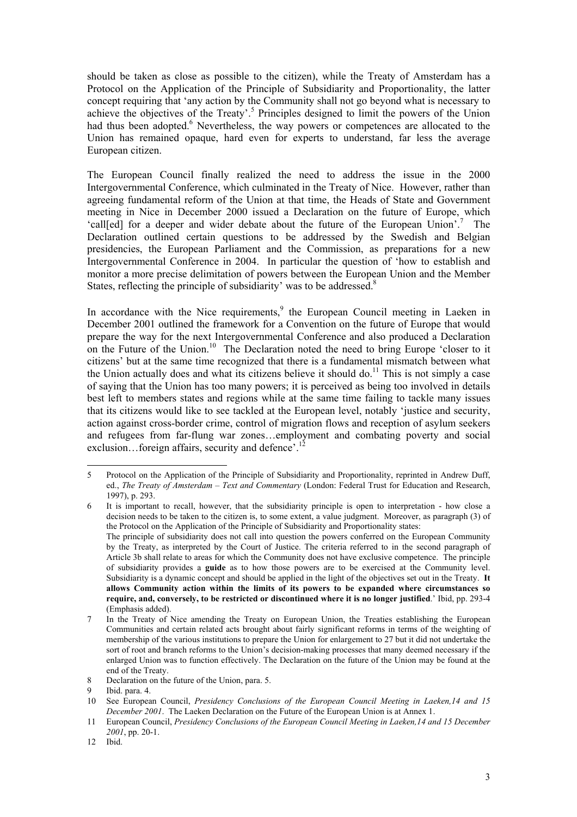should be taken as close as possible to the citizen), while the Treaty of Amsterdam has a Protocol on the Application of the Principle of Subsidiarity and Proportionality, the latter concept requiring that 'any action by the Community shall not go beyond what is necessary to achieve the objectives of the Treaty'.<sup>[5](#page-2-0)</sup> Principles designed to limit the powers of the Union had thus been adopted.<sup>6</sup> Nevertheless, the way powers or competences are allocated to the Union has remained opaque, hard even for experts to understand, far less the average European citizen.

The European Council finally realized the need to address the issue in the 2000 Intergovernmental Conference, which culminated in the Treaty of Nice. However, rather than agreeing fundamental reform of the Union at that time, the Heads of State and Government meeting in Nice in December 2000 issued a Declaration on the future of Europe, which 'call[ed] for a deeper and wider debate about the future of the European Union'.<sup>[7](#page-2-2)</sup> The Declaration outlined certain questions to be addressed by the Swedish and Belgian presidencies, the European Parliament and the Commission, as preparations for a new Intergovernmental Conference in 2004. In particular the question of 'how to establish and monitor a more precise delimitation of powers between the European Union and the Member States, reflecting the principle of subsidiarity' was to be addressed.<sup>[8](#page-2-3)</sup>

In accordance with the Nice requirement[s,](#page-2-4)<sup>9</sup> the European Council meeting in Laeken in December 2001 outlined the framework for a Convention on the future of Europe that would prepare the way for the next Intergovernmental Conference and also produced a Declaration on the Future of the Union.<sup>10</sup> The Declaration noted the need to bring Europe 'closer to it citizens' but at the same time recognized that there is a fundamental mismatch between what the Union actually does and what its citizens believe it should do.<sup>11</sup> This is not simply a case of saying that the Union has too many powers; it is perceived as being too involved in details best left to members states and regions while at the same time failing to tackle many issues that its citizens would like to see tackled at the European level, notably 'justice and security, action against cross-border crime, control of migration flows and reception of asylum seekers and refugees from far-flung war zones…employment and combating poverty and social exclusion...foreign affairs, security and defence'.<sup>12</sup>

<span id="page-2-0"></span>l 5 Protocol on the Application of the Principle of Subsidiarity and Proportionality, reprinted in Andrew Duff, ed., *The Treaty of Amsterdam – Text and Commentary* (London: Federal Trust for Education and Research, 1997), p. 293.

<span id="page-2-1"></span><sup>6</sup> It is important to recall, however, that the subsidiarity principle is open to interpretation - how close a decision needs to be taken to the citizen is, to some extent, a value judgment. Moreover, as paragraph (3) of the Protocol on the Application of the Principle of Subsidiarity and Proportionality states: The principle of subsidiarity does not call into question the powers conferred on the European Community by the Treaty, as interpreted by the Court of Justice. The criteria referred to in the second paragraph of Article 3b shall relate to areas for which the Community does not have exclusive competence. The principle of subsidiarity provides a **guide** as to how those powers are to be exercised at the Community level. Subsidiarity is a dynamic concept and should be applied in the light of the objectives set out in the Treaty. **It allows Community action within the limits of its powers to be expanded where circumstances so require, and, conversely, to be restricted or discontinued where it is no longer justified**.' Ibid, pp. 293-4 (Emphasis added).

<span id="page-2-2"></span><sup>7</sup> In the Treaty of Nice amending the Treaty on European Union, the Treaties establishing the European Communities and certain related acts brought about fairly significant reforms in terms of the weighting of membership of the various institutions to prepare the Union for enlargement to 27 but it did not undertake the sort of root and branch reforms to the Union's decision-making processes that many deemed necessary if the enlarged Union was to function effectively. The Declaration on the future of the Union may be found at the end of the Treaty.

<span id="page-2-3"></span><sup>8</sup> Declaration on the future of the Union, para. 5.

<span id="page-2-4"></span>Ibid. para. 4.

<span id="page-2-5"></span><sup>10</sup> See European Council, *Presidency Conclusions of the European Council Meeting in Laeken,14 and 15 December 2001*. The Laeken Declaration on the Future of the European Union is at Annex 1.

<span id="page-2-6"></span><sup>11</sup> European Council, *Presidency Conclusions of the European Council Meeting in Laeken,14 and 15 December 2001*, pp. 20-1.

<span id="page-2-7"></span><sup>12</sup> Ibid.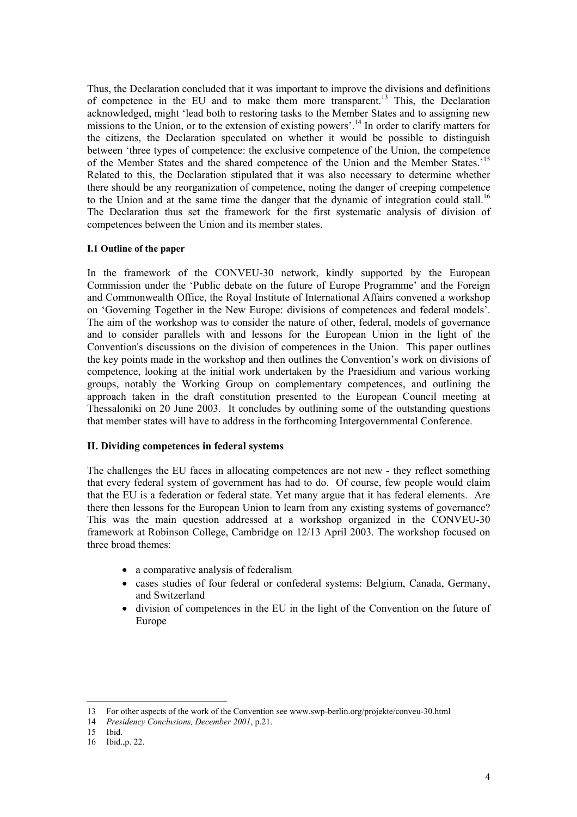Thus, the Declaration concluded that it was important to improve the divisions and definitions of competence in the EU and to make them more transparent.<sup>13</sup> This, the Declaration acknowledged, might 'lead both to restoring tasks to the Member States and to assigning new missions to the Union, or to the extension of existing powers'.<sup>14</sup> In order to clarify matters for the citizens, the Declaration speculated on whether it would be possible to distinguish between 'three types of competence: the exclusive competence of the Union, the competence of the Member States and the shared competence of the Union and the Member States.'[15](#page-3-4) Related to this, the Declaration stipulated that it was also necessary to determine whether there should be any reorganization of competence, noting the danger of creeping competence to the Union and at the same time the danger that the dynamic of integration could stall.<sup>16</sup> The Declaration thus set the framework for the first systematic analysis of division of competences between the Union and its member states.

### <span id="page-3-0"></span>**I.1 Outline of the paper**

In the framework of the CONVEU-30 network, kindly supported by the European Commission under the 'Public debate on the future of Europe Programme' and the Foreign and Commonwealth Office, the Royal Institute of International Affairs convened a workshop on 'Governing Together in the New Europe: divisions of competences and federal models'. The aim of the workshop was to consider the nature of other, federal, models of governance and to consider parallels with and lessons for the European Union in the light of the Convention's discussions on the division of competences in the Union. This paper outlines the key points made in the workshop and then outlines the Convention's work on divisions of competence, looking at the initial work undertaken by the Praesidium and various working groups, notably the Working Group on complementary competences, and outlining the approach taken in the draft constitution presented to the European Council meeting at Thessaloniki on 20 June 2003. It concludes by outlining some of the outstanding questions that member states will have to address in the forthcoming Intergovernmental Conference.

# <span id="page-3-1"></span>**II. Dividing competences in federal systems**

The challenges the EU faces in allocating competences are not new - they reflect something that every federal system of government has had to do. Of course, few people would claim that the EU is a federation or federal state. Yet many argue that it has federal elements. Are there then lessons for the European Union to learn from any existing systems of governance? This was the main question addressed at a workshop organized in the CONVEU-30 framework at Robinson College, Cambridge on 12/13 April 2003. The workshop focused on three broad themes:

- a comparative analysis of federalism
- cases studies of four federal or confederal systems: Belgium, Canada, Germany, and Switzerland
- division of competences in the EU in the light of the Convention on the future of Europe

<span id="page-3-2"></span><sup>13</sup> For other aspects of the work of the Convention see www.swp-berlin.org/projekte/conveu-30.html

<span id="page-3-3"></span><sup>14</sup> *Presidency Conclusions, December 2001*, p.21.

<span id="page-3-4"></span><sup>15</sup> Ibid.

<span id="page-3-5"></span><sup>16</sup> Ibid.,p. 22.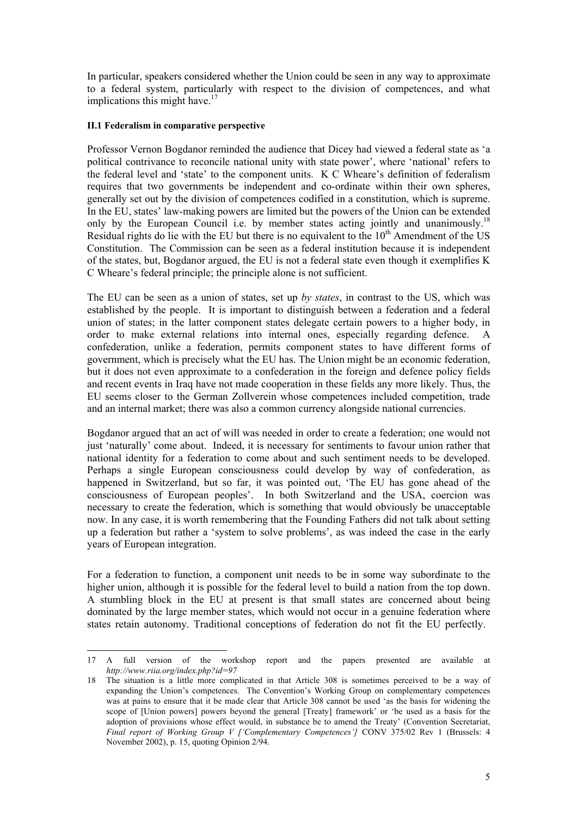In particular, speakers considered whether the Union could be seen in any way to approximate to a federal system, particularly with respect to the division of competences, and what implications this might have. $17$ 

### <span id="page-4-0"></span>**II.1 Federalism in comparative perspective**

l

Professor Vernon Bogdanor reminded the audience that Dicey had viewed a federal state as 'a political contrivance to reconcile national unity with state power', where 'national' refers to the federal level and 'state' to the component units. K C Wheare's definition of federalism requires that two governments be independent and co-ordinate within their own spheres, generally set out by the division of competences codified in a constitution, which is supreme. In the EU, states' law-making powers are limited but the powers of the Union can be extended only by the European Council i.e. by member states acting jointly and unanimously.<sup>18</sup> Residual rights do lie with the EU but there is no equivalent to the 10<sup>th</sup> Amendment of the US Constitution. The Commission can be seen as a federal institution because it is independent of the states, but, Bogdanor argued, the EU is not a federal state even though it exemplifies K C Wheare's federal principle; the principle alone is not sufficient.

The EU can be seen as a union of states, set up *by states*, in contrast to the US, which was established by the people. It is important to distinguish between a federation and a federal union of states; in the latter component states delegate certain powers to a higher body, in order to make external relations into internal ones, especially regarding defence. A confederation, unlike a federation, permits component states to have different forms of government, which is precisely what the EU has. The Union might be an economic federation, but it does not even approximate to a confederation in the foreign and defence policy fields and recent events in Iraq have not made cooperation in these fields any more likely. Thus, the EU seems closer to the German Zollverein whose competences included competition, trade and an internal market; there was also a common currency alongside national currencies.

Bogdanor argued that an act of will was needed in order to create a federation; one would not just 'naturally' come about. Indeed, it is necessary for sentiments to favour union rather that national identity for a federation to come about and such sentiment needs to be developed. Perhaps a single European consciousness could develop by way of confederation, as happened in Switzerland, but so far, it was pointed out, 'The EU has gone ahead of the consciousness of European peoples'. In both Switzerland and the USA, coercion was necessary to create the federation, which is something that would obviously be unacceptable now. In any case, it is worth remembering that the Founding Fathers did not talk about setting up a federation but rather a 'system to solve problems', as was indeed the case in the early years of European integration.

For a federation to function, a component unit needs to be in some way subordinate to the higher union, although it is possible for the federal level to build a nation from the top down. A stumbling block in the EU at present is that small states are concerned about being dominated by the large member states, which would not occur in a genuine federation where states retain autonomy. Traditional conceptions of federation do not fit the EU perfectly.

<span id="page-4-1"></span><sup>17</sup> A full version of the workshop report and the papers presented are available at *http://www.riia.org/index.php?id=97*

<span id="page-4-2"></span><sup>18</sup> The situation is a little more complicated in that Article 308 is sometimes perceived to be a way of expanding the Union's competences. The Convention's Working Group on complementary competences was at pains to ensure that it be made clear that Article 308 cannot be used 'as the basis for widening the scope of [Union powers] powers beyond the general [Treaty] framework' or 'be used as a basis for the adoption of provisions whose effect would, in substance be to amend the Treaty' (Convention Secretariat, *Final report of Working Group V ['Complementary Competences'] CONV 375/02 Rev 1 (Brussels: 4* November 2002), p. 15, quoting Opinion 2/94.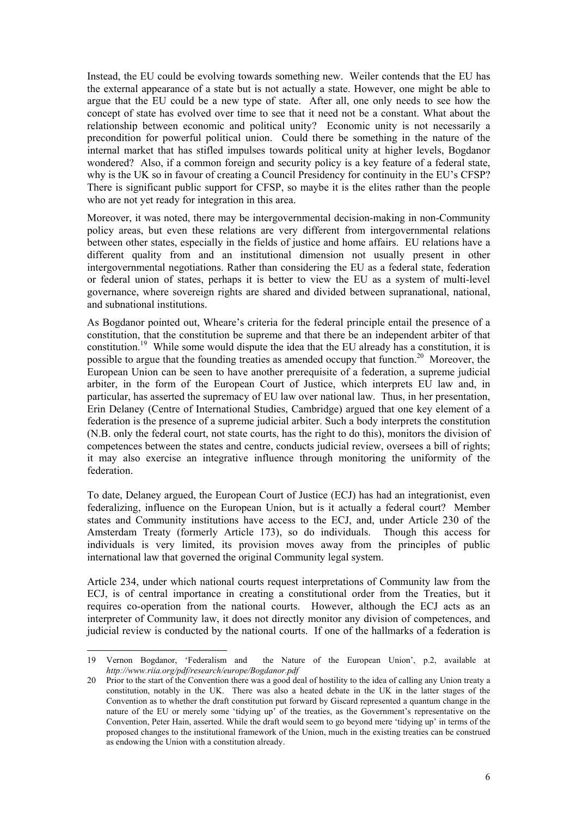Instead, the EU could be evolving towards something new. Weiler contends that the EU has the external appearance of a state but is not actually a state. However, one might be able to argue that the EU could be a new type of state. After all, one only needs to see how the concept of state has evolved over time to see that it need not be a constant. What about the relationship between economic and political unity? Economic unity is not necessarily a precondition for powerful political union. Could there be something in the nature of the internal market that has stifled impulses towards political unity at higher levels, Bogdanor wondered? Also, if a common foreign and security policy is a key feature of a federal state, why is the UK so in favour of creating a Council Presidency for continuity in the EU's CFSP? There is significant public support for CFSP, so maybe it is the elites rather than the people who are not yet ready for integration in this area.

Moreover, it was noted, there may be intergovernmental decision-making in non-Community policy areas, but even these relations are very different from intergovernmental relations between other states, especially in the fields of justice and home affairs. EU relations have a different quality from and an institutional dimension not usually present in other intergovernmental negotiations. Rather than considering the EU as a federal state, federation or federal union of states, perhaps it is better to view the EU as a system of multi-level governance, where sovereign rights are shared and divided between supranational, national, and subnational institutions.

As Bogdanor pointed out, Wheare's criteria for the federal principle entail the presence of a constitution, that the constitution be supreme and that there be an independent arbiter of that constitution.[19](#page-5-0) While some would dispute the idea that the EU already has a constitution, it is possible to argue that the founding treaties as amended occupy that function.<sup>20</sup> Moreover, the European Union can be seen to have another prerequisite of a federation, a supreme judicial arbiter, in the form of the European Court of Justice, which interprets EU law and, in particular, has asserted the supremacy of EU law over national law. Thus, in her presentation, Erin Delaney (Centre of International Studies, Cambridge) argued that one key element of a federation is the presence of a supreme judicial arbiter. Such a body interprets the constitution (N.B. only the federal court, not state courts, has the right to do this), monitors the division of competences between the states and centre, conducts judicial review, oversees a bill of rights; it may also exercise an integrative influence through monitoring the uniformity of the federation.

To date, Delaney argued, the European Court of Justice (ECJ) has had an integrationist, even federalizing, influence on the European Union, but is it actually a federal court? Member states and Community institutions have access to the ECJ, and, under Article 230 of the Amsterdam Treaty (formerly Article 173), so do individuals. Though this access for individuals is very limited, its provision moves away from the principles of public international law that governed the original Community legal system.

Article 234, under which national courts request interpretations of Community law from the ECJ, is of central importance in creating a constitutional order from the Treaties, but it requires co-operation from the national courts. However, although the ECJ acts as an interpreter of Community law, it does not directly monitor any division of competences, and judicial review is conducted by the national courts. If one of the hallmarks of a federation is

<span id="page-5-0"></span><sup>19</sup> Vernon Bogdanor, 'Federalism and the Nature of the European Union', p.2, available at *http://www.riia.org/pdf/research/europe/Bogdanor.pdf*

<span id="page-5-1"></span><sup>20</sup> Prior to the start of the Convention there was a good deal of hostility to the idea of calling any Union treaty a constitution, notably in the UK. There was also a heated debate in the UK in the latter stages of the Convention as to whether the draft constitution put forward by Giscard represented a quantum change in the nature of the EU or merely some 'tidying up' of the treaties, as the Government's representative on the Convention, Peter Hain, asserted. While the draft would seem to go beyond mere 'tidying up' in terms of the proposed changes to the institutional framework of the Union, much in the existing treaties can be construed as endowing the Union with a constitution already.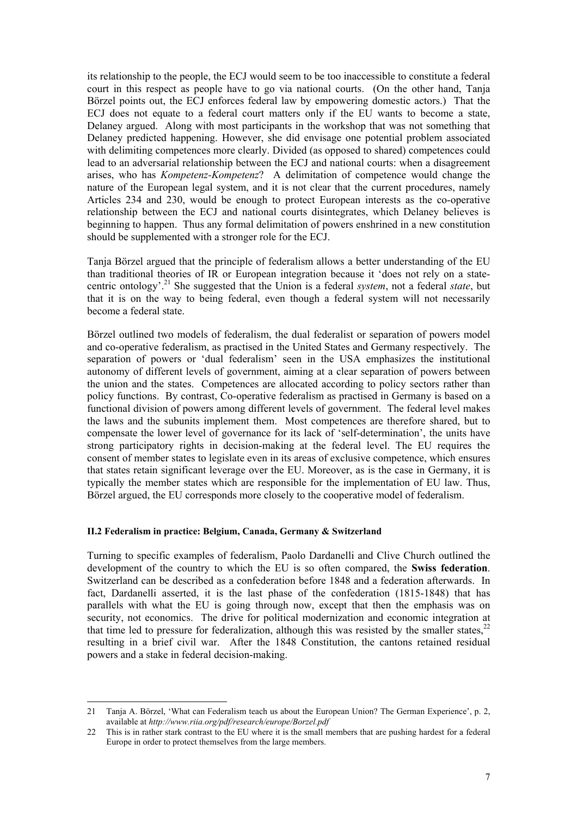its relationship to the people, the ECJ would seem to be too inaccessible to constitute a federal court in this respect as people have to go via national courts. (On the other hand, Tanja Börzel points out, the ECJ enforces federal law by empowering domestic actors.) That the ECJ does not equate to a federal court matters only if the EU wants to become a state, Delaney argued. Along with most participants in the workshop that was not something that Delaney predicted happening. However, she did envisage one potential problem associated with delimiting competences more clearly. Divided (as opposed to shared) competences could lead to an adversarial relationship between the ECJ and national courts: when a disagreement arises, who has *Kompetenz-Kompetenz*? A delimitation of competence would change the nature of the European legal system, and it is not clear that the current procedures, namely Articles 234 and 230, would be enough to protect European interests as the co-operative relationship between the ECJ and national courts disintegrates, which Delaney believes is beginning to happen. Thus any formal delimitation of powers enshrined in a new constitution should be supplemented with a stronger role for the ECJ.

Ta[nja](#page-1-0) Börzel argued that the principle of federalism allows a better understanding of the EU than traditional theories of IR or European integration because it 'does not rely on a statecentric ontology'[.21](#page-6-1) She suggested that the Union is a federal *system*, not a federal *state*, but that it is on the way to being federal, even though a federal system will not necessarily become a federal state.

Börzel outlined two models of federalism, the dual federalist or separation of powers model and co-operative federalism, as practised in the United States and Germany respectively. The separation of powers or 'dual federalism' seen in the USA emphasizes the institutional autonomy of different levels of government, aiming at a clear separation of powers between the union and the states. Competences are allocated according to policy sectors rather than policy functions. By contrast, Co-operative federalism as practised in Germany is based on a functional division of powers among different levels of government. The federal level makes the laws and the subunits implement them. Most competences are therefore shared, but to compensate the lower level of governance for its lack of 'self-determination', the units have strong participatory rights in decision-making at the federal level. The EU requires the consent of member states to legislate even in its areas of exclusive competence, which ensures that states retain significant leverage over the EU. Moreover, as is the case in Germany, it is typically the member states which are responsible for the implementation of EU law. Thus, Börzel argued, the EU corresponds more closely to the cooperative model of federalism.

#### <span id="page-6-0"></span>**II.2 Federalism in practice: Belgium, Canada, Germany & Switzerland**

l

Turning to specific examples of federalism, Paolo Dardanelli and Clive Church outlined the development of the country to which the EU is so often compared, the **Swiss federation**. Switzerland can be described as a confederation before 1848 and a federation afterwards. In fact, Dardanelli asserted, it is the last phase of the confederation (1815-1848) that has parallels with what the EU is going through now, except that then the emphasis was on security, not economics. The drive for political modernization and economic integration at that time led to pressure for federalization, although this was resisted by the smaller states,  $2^2$ resulting in a brief civil war. After the 1848 Constitution, the cantons retained residual powers and a stake in federal decision-making.

<span id="page-6-1"></span><sup>21</sup> Tanja A. Börzel, 'What can Federalism teach us about the European Union? The German Experience', p. 2, available at *http://www.riia.org/pdf/research/europe/Borzel.pdf*

<span id="page-6-2"></span><sup>22</sup> This is in rather stark contrast to the EU where it is the small members that are pushing hardest for a federal Europe in order to protect themselves from the large members.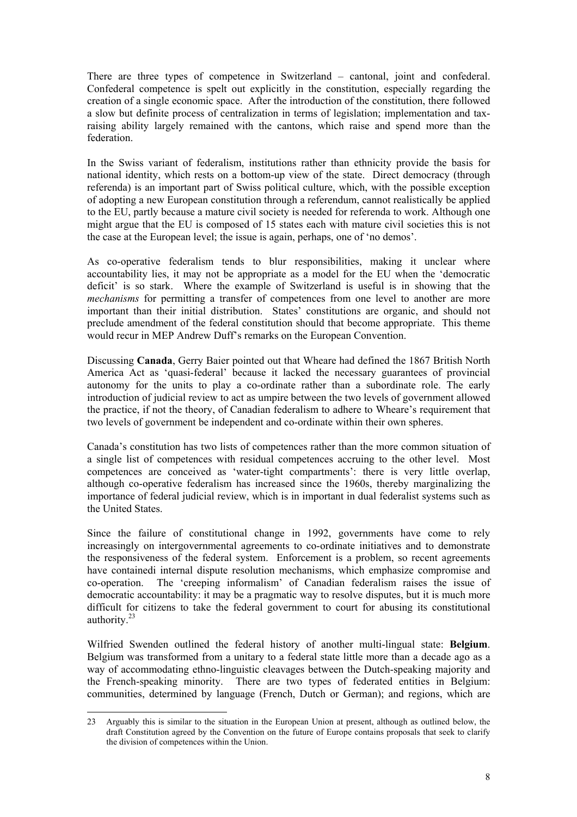There are three types of competence in Switzerland – cantonal, joint and confederal. Confederal competence is spelt out explicitly in the constitution, especially regarding the creation of a single economic space. After the introduction of the constitution, there followed a slow but definite process of centralization in terms of legislation; implementation and taxraising ability largely remained with the cantons, which raise and spend more than the federation.

In the Swiss variant of federalism, institutions rather than ethnicity provide the basis for national identity, which rests on a bottom-up view of the state. Direct democracy (through referenda) is an important part of Swiss political culture, which, with the possible exception of adopting a new European constitution through a referendum, cannot realistically be applied to the EU, partly because a mature civil society is needed for referenda to work. Although one might argue that the EU is composed of 15 states each with mature civil societies this is not the case at the European level; the issue is again, perhaps, one of 'no demos'.

As co-operative federalism tends to blur responsibilities, making it unclear where accountability lies, it may not be appropriate as a model for the EU when the 'democratic deficit' is so stark. Where the example of Switzerland is useful is in showing that the *mechanisms* for permitting a transfer of competences from one level to another are more important than their initial distribution. States' constitutions are organic, and should not preclude amendment of the federal constitution should that become appropriate. This theme would recur in MEP Andrew Duff's remarks on the European Convention.

Discussing **Canada**, Gerry Baier pointed out that Wheare had defined the 1867 British North America Act as 'quasi-federal' because it lacked the necessary guarantees of provincial autonomy for the units to play a co-ordinate rather than a subordinate role. The early introduction of judicial review to act as umpire between the two levels of government allowed the practice, if not the theory, of Canadian federalism to adhere to Wheare's requirement that two levels of government be independent and co-ordinate within their own spheres.

Canada's constitution has two lists of competences rather than the more common situation of a single list of competences with residual competences accruing to the other level. Most competences are conceived as 'water-tight compartments': there is very little overlap, although co-operative federalism has increased since the 1960s, thereby marginalizing the importance of federal judicial review, which is in important in dual federalist systems such as the United States.

Since the failure of constitutional change in 1992, governments have come to rely increasingly on intergovernmental agreements to co-ordinate initiatives and to demonstrate the responsiveness of the federal system. Enforcement is a problem, so recent agreements have containedi internal dispute resolution mechanisms, which emphasize compromise and co-operation. The 'creeping informalism' of Canadian federalism raises the issue of democratic accountability: it may be a pragmatic way to resolve disputes, but it is much more difficult for citizens to take the federal government to court for abusing its constitutional authority.[23](#page-7-0)

Wilfried Swenden outlined the federal history of another multi-lingual state: **Belgium**. Belgium was transformed from a unitary to a federal state little more than a decade ago as a way of accommodating ethno-linguistic cleavages between the Dutch-speaking majority and the French-speaking minority. There are two types of federated entities in Belgium: communities, determined by language (French, Dutch or German); and regions, which are

<span id="page-7-0"></span><sup>23</sup> Arguably this is similar to the situation in the European Union at present, although as outlined below, the draft Constitution agreed by the Convention on the future of Europe contains proposals that seek to clarify the division of competences within the Union.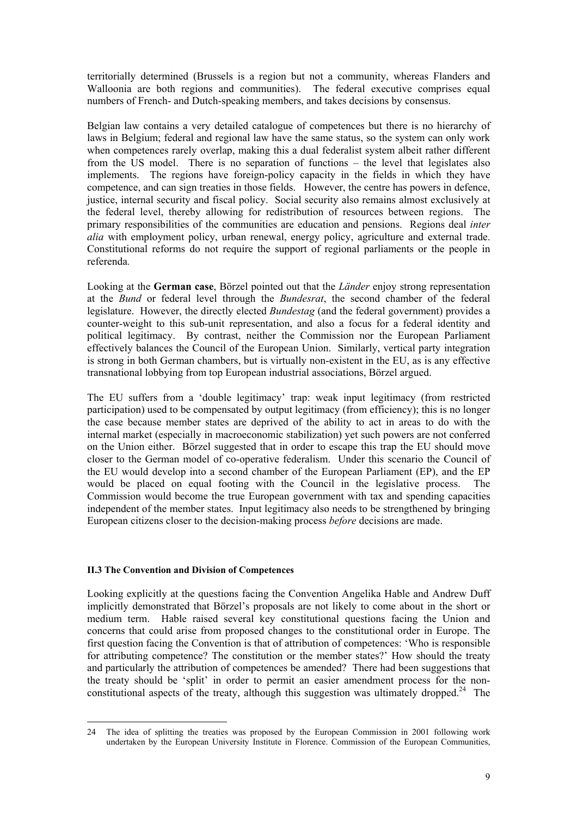<span id="page-8-1"></span>territorially determined (Brussels is a region but not a community, whereas Flanders and Walloonia are both regions and communities). The federal executive comprises equal numbers of French- and Dutch-speaking members, and takes decisions by consensus.

Belgian law contains a very detailed catalogue of competences but there is no hierarchy of laws in Belgium; federal and regional law have the same status, so the system can only work when competences rarely overlap, making this a dual federalist system albeit rather different from the US model. There is no separation of functions – the level that legislates also implements. The regions have foreign-policy capacity in the fields in which they have competence, and can sign treaties in those fields. However, the centre has powers in defence, justice, internal security and fiscal policy. Social security also remains almost exclusively at the federal level, thereby allowing for redistribution of resources between regions. The primary responsibilities of the communities are education and pensions. Regions deal *inter alia* with employment policy, urban renewal, energy policy, agriculture and external trade. Constitutional reforms do not require the support of regional parliaments or the people in referenda.

Looking at the **German case**, Börzel pointed out that the *Länder* enjoy strong representation at the *Bund* or federal level through the *Bundesrat*, the second chamber of the federal legislature. However, the directly elected *Bundestag* (and the federal government) provides a counter-weight to this sub-unit representation, and also a focus for a federal identity and political legitimacy. By contrast, neither the Commission nor the European Parliament effectively balances the Council of the European Union. Similarly, vertical party integration is strong in both German chambers, but is virtually non-existent in the EU, as is any effective transnational lobbying from top European industrial associations, Börzel argued.

The EU suffers from a 'double legitimacy' trap: weak input legitimacy (from restricted participation) used to be compensated by output legitimacy (from efficiency); this is no longer the case because member states are deprived of the ability to act in areas to do with the internal market (especially in macroeconomic stabilization) yet such powers are not conferred on the Union either. Börzel suggested that in order to escape this trap the EU should move closer to the German model of co-operative federalism. Under this scenario the Council of the EU would develop into a second chamber of the European Parliament (EP), and the EP would be placed on equal footing with the Council in the legislative process. The Commission would become the true European government with tax and spending capacities independent of the member states. Input legitimacy also needs to be strengthened by bringing European citizens closer to the decision-making process *before* decisions are made.

# <span id="page-8-0"></span>**II.3 The Convention and Division of Competences**

Looking explicitly at the questions facing the Convention Angelika Hable and Andrew Duff implicitly demonstrated that Börzel's proposals are not likely to come about in the short or medium term. Hable raised several key constitutional questions facing the Union and concerns that could arise from proposed changes to the constitutional order in Europe. The first question facing the Convention is that of attribution of competences: 'Who is responsible for attributing competence? The constitution or the member states?' How should the treaty and particularly the attribution of competences be amended? There had been suggestions that the treaty should be 'split' in order to permit an easier amendment process for the nonconstitutional aspects of the treaty, although this suggestion was ultimately dropped.<sup>24</sup> The

l 24 The idea of splitting the treaties was proposed by the European Commission in 2001 following work undertaken by the European University Institute in Florence. Commission of the European Communities,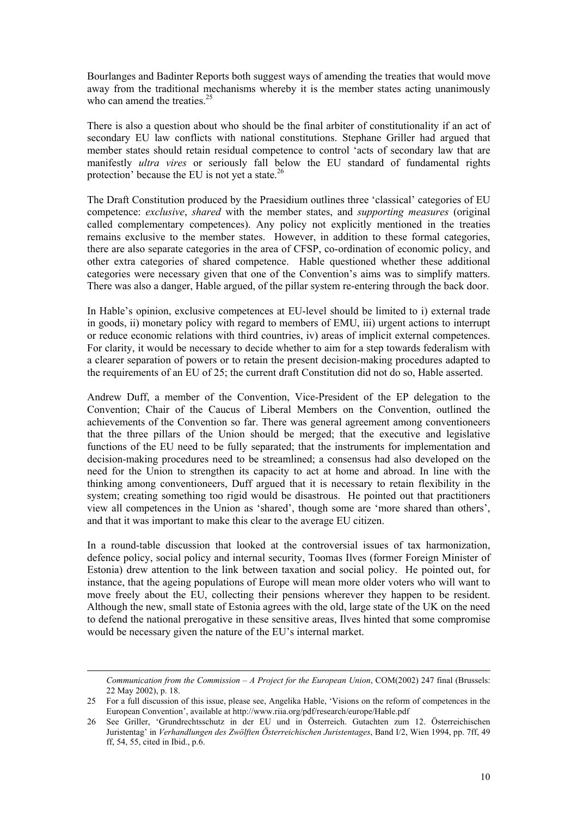Bourlanges and Badinter Reports both suggest ways of amending the treaties that would move away from the traditional mechanisms whereby it is the member states acting unanimously who can amend the treaties.<sup>25</sup>

There is also a question about who should be the final arbiter of constitutionality if an act of secondary EU law conflicts with national constitutions. Stephane Griller had argued that member states should retain residual competence to control 'acts of secondary law that are manifestly *ultra vires* or seriously fall below the EU standard of fundamental rights protection' because the EU is not yet a state.<sup>26</sup>

The Draft Constitution produced by the Praesidium outlines three 'classical' categories of EU competence: *exclusive*, *shared* with the member states, and *supporting measures* (original called complementary competences). Any policy not explicitly mentioned in the treaties remains exclusive to the member states. However, in addition to these formal categories, there are also separate categories in the area of CFSP, co-ordination of economic policy, and other extra categories of shared competence. Hable questioned whether these additional categories were necessary given that one of the Convention's aims was to simplify matters. There was also a danger, Hable argued, of the pillar system re-entering through the back door.

In Hable's opinion, exclusive competences at EU-level should be limited to i) external trade in goods, ii) monetary policy with regard to members of EMU, iii) urgent actions to interrupt or reduce economic relations with third countries, iv) areas of implicit external competences. For clarity, it would be necessary to decide whether to aim for a step towards federalism with a clearer separation of powers or to retain the present decision-making procedures adapted to the requirements of an EU of 25; the current draft Constitution did not do so, Hable asserted.

Andrew Duff, a member of the Convention, Vice-President of the EP delegation to the Convention; Chair of the Caucus of Liberal Members on the Convention, outlined the achievements of the Convention so far. There was general agreement among conventioneers that the three pillars of the Union should be merged; that the executive and legislative functions of the EU need to be fully separated; that the instruments for implementation and decision-making procedures need to be streamlined; a consensus had also developed on the need for the Union to strengthen its capacity to act at home and abroad. In line with the thinking among conventioneers, Duff argued that it is necessary to retain flexibility in the system; creating something too rigid would be disastrous. He pointed out that practitioners view all competences in the Union as 'shared', though some are 'more shared than others', and that it was important to make this clear to the average EU citizen.

In a round-table discussion that looked at the controversial issues of tax harmonization, defence policy, social policy and internal security, Toomas Ilves (former Foreign Minister of Estonia) drew attention to the link between taxation and social policy. He pointed out, for instance, that the ageing populations of Europe will mean more older voters who will want to move freely about the EU, collecting their pensions wherever they happen to be resident. Although the new, small state of Estonia agrees with the old, large state of the UK on the need to defend the national prerogative in these sensitive areas, Ilves hinted that some compromise would be necessary given the nature of the EU's internal market.

1

*Communication from the Commission – A Project for the European Union*, COM(2002) 247 final (Brussels: 22 May 2002), p. 18.

<span id="page-9-0"></span><sup>25</sup> For a full discussion of this issue, please see, Angelika Hable, 'Visions on the reform of competences in the European Convention', available at http://www.riia.org/pdf/research/europe/Hable.pdf

<span id="page-9-1"></span><sup>26</sup> See Griller, 'Grundrechtsschutz in der EU und in Österreich. Gutachten zum 12. Österreichischen Juristentag' in *Verhandlungen des Zwölften Österreichischen Juristentages*, Band I/2, Wien 1994, pp. 7ff, 49 ff, 54, 55, cited in Ibid., p.6.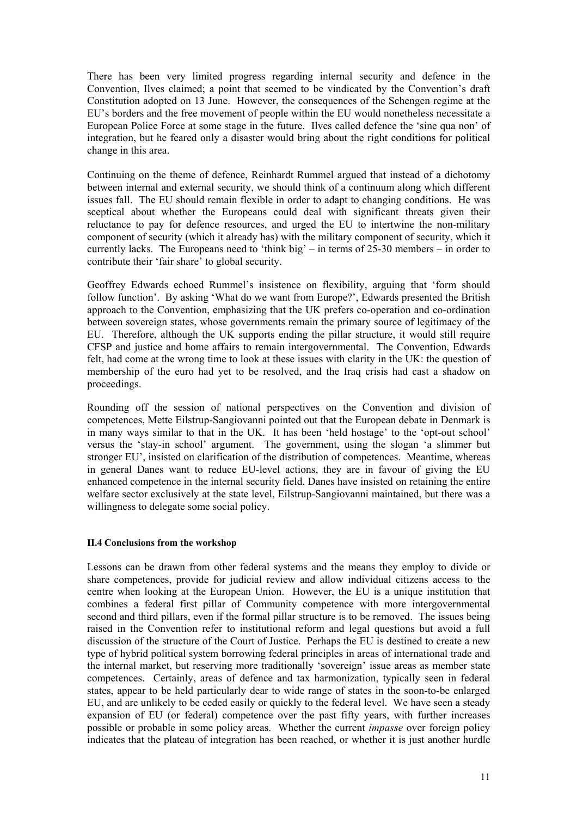There has been very limited progress regarding internal security and defence in the Convention, Ilves claimed; a point that seemed to be vindicated by the Convention's draft Constitution adopted on 13 June. However, the consequences of the Schengen regime at the EU's borders and the free movement of people within the EU would nonetheless necessitate a European Police Force at some stage in the future. Ilves called defence the 'sine qua non' of integration, but he feared only a disaster would bring about the right conditions for political change in this area.

Continuing on the theme of defence, Reinhardt Rummel argued that instead of a dichotomy between internal and external security, we should think of a continuum along which different issues fall. The EU should remain flexible in order to adapt to changing conditions. He was sceptical about whether the Europeans could deal with significant threats given their reluctance to pay for defence resources, and urged the EU to intertwine the non-military component of security (which it already has) with the military component of security, which it currently lacks. The Europeans need to 'think big' – in terms of 25-30 members – in order to contribute their 'fair share' to global security.

Geoffrey Edwards echoed Rummel's insistence on flexibility, arguing that 'form should follow function'. By asking 'What do we want from Europe?', Edwards presented the British approach to the Convention, emphasizing that the UK prefers co-operation and co-ordination between sovereign states, whose governments remain the primary source of legitimacy of the EU. Therefore, although the UK supports ending the pillar structure, it would still require CFSP and justice and home affairs to remain intergovernmental. The Convention, Edwards felt, had come at the wrong time to look at these issues with clarity in the UK: the question of membership of the euro had yet to be resolved, and the Iraq crisis had cast a shadow on proceedings.

Rounding off the session of national perspectives on the Convention and division of competences, Mette Eilstrup-Sangiovanni pointed out that the European debate in Denmark is in many ways similar to that in the UK. It has been 'held hostage' to the 'opt-out school' versus the 'stay-in school' argument. The government, using the slogan 'a slimmer but stronger EU', insisted on clarification of the distribution of competences. Meantime, whereas in general Danes want to reduce EU-level actions, they are in favour of giving the EU enhanced competence in the internal security field. Danes have insisted on retaining the entire welfare sector exclusively at the state level, Eilstrup-Sangiovanni maintained, but there was a willingness to delegate some social policy.

# <span id="page-10-0"></span>**II.4 Conclusions from the workshop**

Lessons can be drawn from other federal systems and the means they employ to divide or share competences, provide for judicial review and allow individual citizens access to the centre when looking at the European Union. However, the EU is a unique institution that combines a federal first pillar of Community competence with more intergovernmental second and third pillars, even if the formal pillar structure is to be removed. The issues being raised in the Convention refer to institutional reform and legal questions but avoid a full discussion of the structure of the Court of Justice. Perhaps the EU is destined to create a new type of hybrid political system borrowing federal principles in areas of international trade and the internal market, but reserving more traditionally 'sovereign' issue areas as member state competences. Certainly, areas of defence and tax harmonization, typically seen in federal states, appear to be held particularly dear to wide range of states in the soon-to-be enlarged EU, and are unlikely to be ceded easily or quickly to the federal level. We have seen a steady expansion of EU (or federal) competence over the past fifty years, with further increases possible or probable in some policy areas. Whether the current *impasse* over foreign policy indicates that the plateau of integration has been reached, or whether it is just another hurdle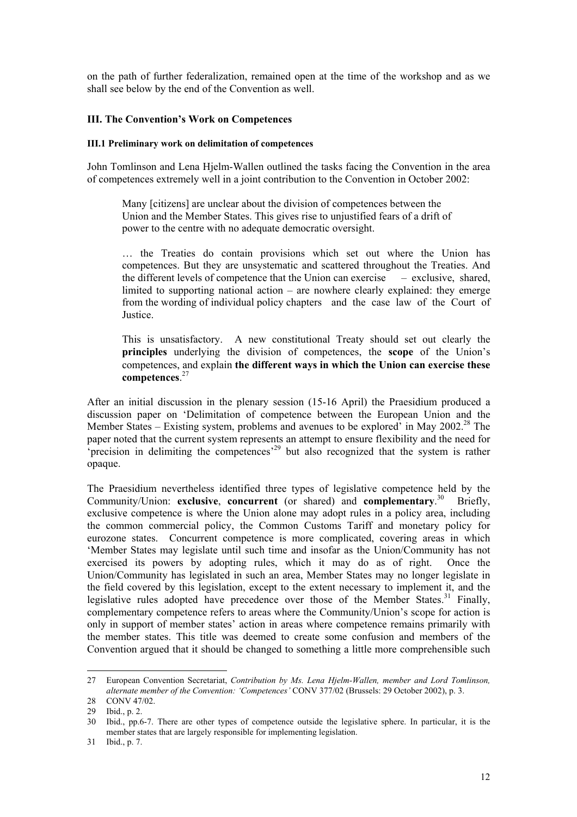on the path of further federalization, remained open at the time of the workshop and as we shall see below by the end of the Convention as well.

# <span id="page-11-0"></span>**III. The Convention's Work on Competences**

#### <span id="page-11-1"></span>**III.1 Preliminary work on delimitation of competences**

John Tomlinson and Lena Hjelm-Wallen outlined the tasks facing the Convention in the area of competences extremely well in a joint contribution to the Convention in October 2002:

Many [citizens] are unclear about the division of competences between the Union and the Member States. This gives rise to unjustified fears of a drift of power to the centre with no adequate democratic oversight.

… the Treaties do contain provisions which set out where the Union has competences. But they are unsystematic and scattered throughout the Treaties. And the different levels of competence that the Union can exercise – exclusive, shared, limited to supporting national action – are nowhere clearly explained: they emerge from the wording of individual policy chapters and the case law of the Court of Justice.

This is unsatisfactory. A new constitutional Treaty should set out clearly the **principles** underlying the division of competences, the **scope** of the Union's competences, and explain **the different ways in which the Union can exercise these competences**. [27](#page-11-2)

After an initial discussion in the plenary session (15-16 April) the Praesidium produced a discussion paper on 'Delimitation of competence between the European Union and the Member States – Existing system, problems and avenues to be explored<sup> $\dot{\text{}}$ </sup> in May 2002.<sup>28</sup> The paper noted that the current system represents an attempt to ensure flexibility and the need for 'precision in delimiting the competences'[29](#page-11-4) but also recognized that the system is rather opaque.

The Praesidium nevertheless identified three types of legislative competence held by the Community/Union: **exclusive**, **concurrent** (or shared) and **complementary**. [30](#page-11-5) Briefly, exclusive competence is where the Union alone may adopt rules in a policy area, including the common commercial policy, the Common Customs Tariff and monetary policy for eurozone states. Concurrent competence is more complicated, covering areas in which 'Member States may legislate until such time and insofar as the Union/Community has not exercised its powers by adopting rules, which it may do as of right. Once the Union/Community has legislated in such an area, Member States may no longer legislate in the field covered by this legislation, except to the extent necessary to implement it, and the legislative rules adopted have precedence over those of the Member States.<sup>31</sup> Finally, complementary competence refers to areas where the Community/Union's scope for action is only in support of member states' action in areas where competence remains primarily with the member states. This title was deemed to create some confusion and members of the Convention argued that it should be changed to something a little more comprehensible such

<span id="page-11-2"></span><sup>27</sup> European Convention Secretariat, *Contribution by Ms. Lena Hjelm-Wallen, member and Lord Tomlinson, alternate member of the Convention: 'Competences'* CONV 377/02 (Brussels: 29 October 2002), p. 3.

<span id="page-11-3"></span><sup>28</sup> CONV 47/02.

<span id="page-11-4"></span><sup>29</sup> Ibid., p. 2.

<span id="page-11-5"></span><sup>30</sup> Ibid., pp.6-7. There are other types of competence outside the legislative sphere. In particular, it is the member states that are largely responsible for implementing legislation.

<span id="page-11-6"></span><sup>31</sup> Ibid., p. 7.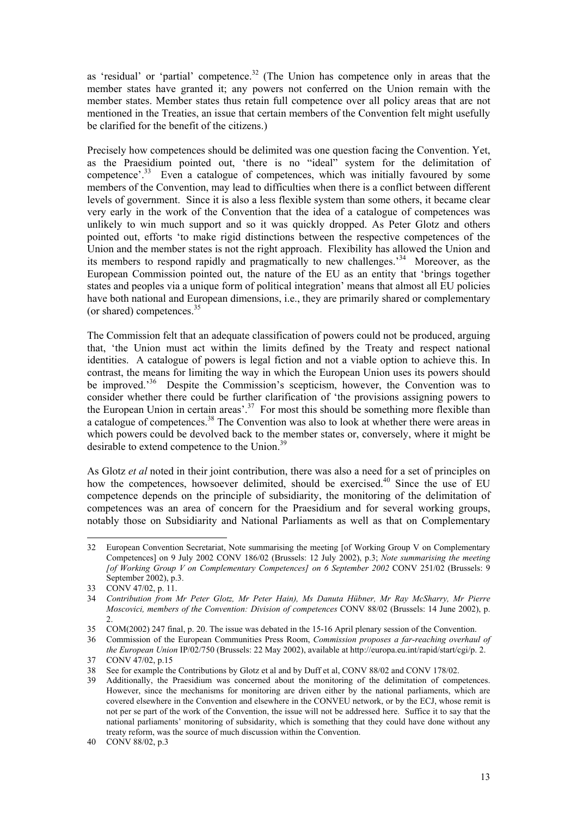as 'residual' or 'partial' competence.<sup>32</sup> (The Union has competence only in areas that the member states have granted it; any powers not conferred on the Union remain with the member states. Member states thus retain full competence over all policy areas that are not mentioned in the Treaties, an issue that certain members of the Convention felt might usefully be clarified for the benefit of the citizens.)

Precisely how competences should be delimited was one question facing the Convention. Yet, as the Praesidium pointed out, 'there is no "ideal" system for the delimitation of competence'.<sup>33</sup> Even a catalogue of competences, which was initially favoured by some members of the Convention, may lead to difficulties when there is a conflict between different levels of government. Since it is also a less flexible system than some others, it became clear very early in the work of the Convention that the idea of a catalogue of competences was unlikely to win much support and so it was quickly dropped. As Peter Glotz and others pointed out, efforts 'to make rigid distinctions between the respective competences of the Union and the member states is not the right approach. Flexibility has allowed the Union and its members to respond rapidly and pragmatically to new challenges.'[34](#page-12-2) Moreover, as the European Commission pointed out, the nature of the EU as an entity that 'brings together states and peoples via a unique form of political integration' means that almost all EU policies have both national and European dimensions, i.e., they are primarily shared or complementary (or shared) competences.[35](#page-12-3)

The Commission felt that an adequate classification of powers could not be produced, arguing that, 'the Union must act within the limits defined by the Treaty and respect national identities. A catalogue of powers is legal fiction and not a viable option to achieve this. In contrast, the means for limiting the way in which the European Union uses its powers should be improved.<sup>36</sup> Despite the Commission's scepticism, however, the Convention was to consider whether there could be further clarification of 'the provisions assigning powers to the European Union in certain areas'.<sup>37</sup> For most this should be something more flexible than a catalogue of competences.<sup>38</sup> The Convention was also to look at whether there were areas in which powers could be devolved back to the member states or, conversely, where it might be desirable to extend competence to the Union.<sup>39</sup>

As Glotz *et al* noted in their joint contribution, there was also a need for a set of principles on how the competences, howsoever delimited, should be exercised.<sup>40</sup> Since the use of EU competence depends on the principle of subsidiarity, the monitoring of the delimitation of competences was an area of concern for the Praesidium and for several working groups, notably those on Subsidiarity and National Parliaments as well as that on Complementary

<span id="page-12-0"></span>l 32 European Convention Secretariat, Note summarising the meeting [of Working Group V on Complementary Competences] on 9 July 2002 CONV 186/02 (Brussels: 12 July 2002), p.3; *Note summarising the meeting [of Working Group V on Complementary Competences] on 6 September 2002* CONV 251/02 (Brussels: 9 September 2002), p.3.

<span id="page-12-1"></span><sup>33</sup> CONV 47/02, p. 11.

<span id="page-12-2"></span><sup>34</sup> *Contribution from Mr Peter Glotz, Mr Peter Hain), Ms Danuta Hübner, Mr Ray McSharry, Mr Pierre Moscovici, members of the Convention: Division of competences* CONV 88/02 (Brussels: 14 June 2002), p. 2.

<span id="page-12-3"></span><sup>35</sup> COM(2002) 247 final, p. 20. The issue was debated in the 15-16 April plenary session of the Convention.

<span id="page-12-4"></span><sup>36</sup> Commission of the European Communities Press Room, *Commission proposes a far-reaching overhaul of the European Union* IP/02/750 (Brussels: 22 May 2002), available at http://europa.eu.int/rapid/start/cgi/p. 2.

<span id="page-12-5"></span><sup>37</sup> CONV 47/02, p.15

<span id="page-12-6"></span><sup>38</sup> See for example the Contributions by Glotz et al and by Duff et al, CONV 88/02 and CONV 178/02.

<span id="page-12-7"></span><sup>39</sup> Additionally, the Praesidium was concerned about the monitoring of the delimitation of competences. However, since the mechanisms for monitoring are driven either by the national parliaments, which are covered elsewhere in the Convention and elsewhere in the CONVEU network, or by the ECJ, whose remit is not per se part of the work of the Convention, the issue will not be addressed here. Suffice it to say that the national parliaments' monitoring of subsidarity, which is something that they could have done without any treaty reform, was the source of much discussion within the Convention.

<span id="page-12-8"></span><sup>40</sup> CONV 88/02, p.3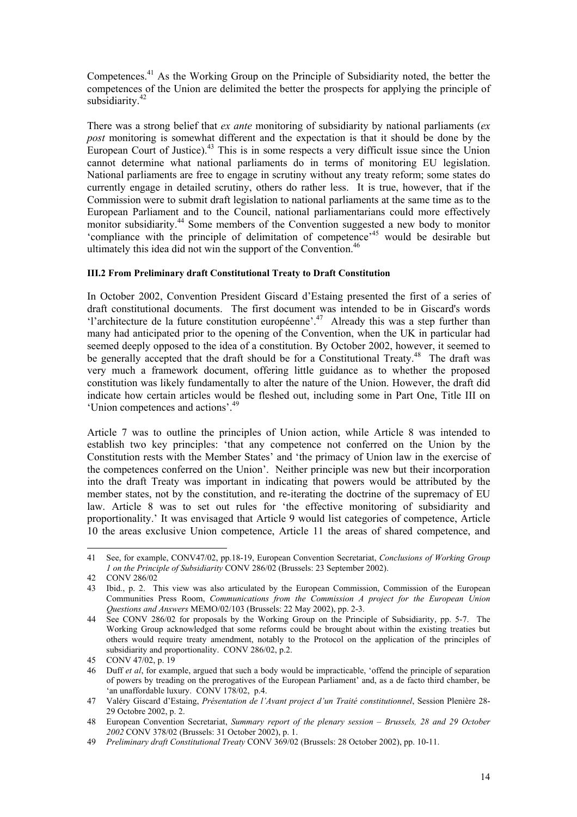Competences.[41](#page-13-1) As the Working Group on the Principle of Subsidiarity noted, the better the competences of the Union are delimited the better the prospects for applying the principle of subsidiarity.<sup>[42](#page-13-2)</sup>

There was a strong belief that *ex ante* monitoring of subsidiarity by national parliaments (*ex post* monitoring is somewhat different and the expectation is that it should be done by the European Court of Justice).<sup>43</sup> This is in some respects a very difficult issue since the Union cannot determine what national parliaments do in terms of monitoring EU legislation. National parliaments are free to engage in scrutiny without any treaty reform; some states do currently engage in detailed scrutiny, others do rather less. It is true, however, that if the Commission were to submit draft legislation to national parliaments at the same time as to the European Parliament and to the Council, national parliamentarians could more effectively monitor subsidiarity.[44](#page-13-4) Some members of the Convention suggested a new body to monitor 'compliance with the principle of delimitation of competence'[45](#page-13-5) would be desirable but ultimately this idea did not win the support of the Convention.<sup>46</sup>

### <span id="page-13-0"></span>**III.2 From Preliminary draft Constitutional Treaty to Draft Constitution**

In October 2002, Convention President Giscard d'Estaing presented the first of a series of draft constitutional documents. The first document was intended to be in Giscard's words 'l'architecture de la future constitution européenne'[.47](#page-13-7) Already this was a step further than many had anticipated prior to the opening of the Convention, when the UK in particular had seemed deeply opposed to the idea of a constitution. By October 2002, however, it seemed to be generally accepted that the draft should be for a Constitutional Treaty.<sup>48</sup> The draft was very much a framework document, offering little guidance as to whether the proposed constitution was likely fundamentally to alter the nature of the Union. However, the draft did indicate how certain articles would be fleshed out, including some in Part One, Title III on 'Union competences and actions'.[49](#page-13-9)

Article 7 was to outline the principles of Union action, while Article 8 was intended to establish two key principles: 'that any competence not conferred on the Union by the Constitution rests with the Member States' and 'the primacy of Union law in the exercise of the competences conferred on the Union'. Neither principle was new but their incorporation into the draft Treaty was important in indicating that powers would be attributed by the member states, not by the constitution, and re-iterating the doctrine of the supremacy of EU law. Article 8 was to set out rules for 'the effective monitoring of subsidiarity and proportionality.' It was envisaged that Article 9 would list categories of competence, Article 10 the areas exclusive Union competence, Article 11 the areas of shared competence, and

<span id="page-13-1"></span><sup>41</sup> See, for example, CONV47/02, pp.18-19, European Convention Secretariat, *Conclusions of Working Group 1 on the Principle of Subsidiarity* CONV 286/02 (Brussels: 23 September 2002).

<span id="page-13-2"></span><sup>42</sup> CONV 286/02

<span id="page-13-3"></span><sup>43</sup> Ibid., p. 2. This view was also articulated by the European Commission, Commission of the European Communities Press Room, *Communications from the Commission A project for the European Union Questions and Answers* MEMO/02/103 (Brussels: 22 May 2002), pp. 2-3.

<span id="page-13-4"></span><sup>44</sup> See CONV 286/02 for proposals by the Working Group on the Principle of Subsidiarity, pp. 5-7. The Working Group acknowledged that some reforms could be brought about within the existing treaties but others would require treaty amendment, notably to the Protocol on the application of the principles of subsidiarity and proportionality. CONV 286/02, p.2.

<span id="page-13-5"></span><sup>45</sup> CONV 47/02, p. 19

<span id="page-13-6"></span><sup>46</sup> Duff *et al*, for example, argued that such a body would be impracticable, 'offend the principle of separation of powers by treading on the prerogatives of the European Parliament' and, as a de facto third chamber, be 'an unaffordable luxury. CONV 178/02, p.4.

<span id="page-13-7"></span><sup>47</sup> Valéry Giscard d'Estaing, *Présentation de l'Avant project d'un Traité constitutionnel*, Session Plenière 28- 29 Octobre 2002, p. 2.

<span id="page-13-8"></span><sup>48</sup> European Convention Secretariat, *Summary report of the plenary session – Brussels, 28 and 29 October 2002* CONV 378/02 (Brussels: 31 October 2002), p. 1.

<span id="page-13-9"></span><sup>49</sup> *Preliminary draft Constitutional Treaty* CONV 369/02 (Brussels: 28 October 2002), pp. 10-11.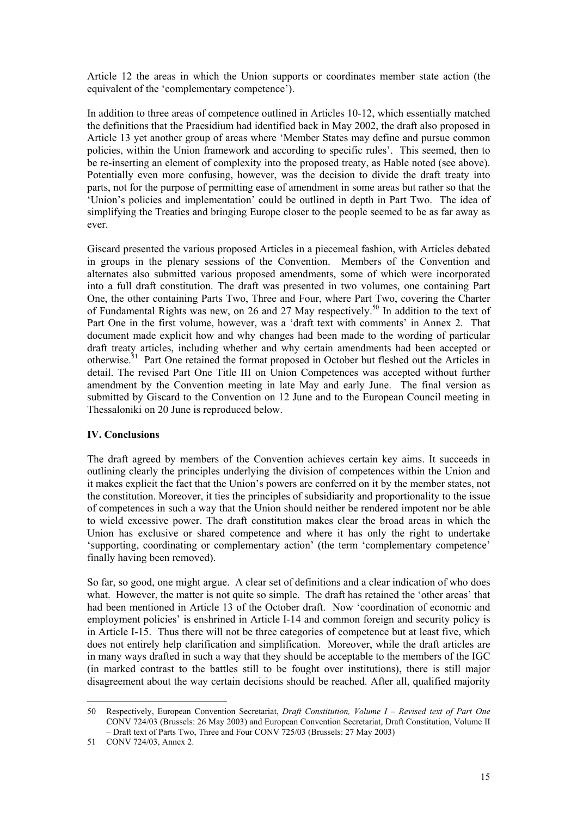Article 12 the areas in which the Union supports or coordinates member state action (the equivalent of the 'complementary competence').

In addition to three areas of competence outlined in Articles 10-12, which essentially matched the definitions that the Praesidium had identified back in May 2002, the draft also proposed in Article 13 yet another group of areas where 'Member States may define and pursue common policies, within the Union framework and according to specific rules'. This seemed, then to be re-inserting an element of complexity into the proposed treaty, as Hable noted (see above). Potentially even more confusing, however, was the decision to divide the draft treaty into parts, not for the purpose of permitting ease of amendment in some areas but rather so that the 'Union's policies and implementation' could be outlined in depth in Part Two. The idea of simplifying the Treaties and bringing Europe closer to the people seemed to be as far away as ever.

Giscard presented the various proposed Articles in a piecemeal fashion, with Articles debated in groups in the plenary sessions of the Convention. Members of the Convention and alternates also submitted various proposed amendments, some of which were incorporated into a full draft constitution. The draft was presented in two volumes, one containing Part One, the other containing Parts Two, Three and Four, where Part Two, covering the Charter of Fundamental Rights was new, on 26 and 27 May respectively[.50](#page-14-1) In addition to the text of Part One in the first volume, however, was a 'draft text with comments' in Annex 2. That document made explicit how and why changes had been made to the wording of particular draft treaty articles, including whether and why certain amendments had been accepted or otherwise.<sup>51</sup> Part One retained the format proposed in October but fleshed out the Articles in detail. The revised Part One Title III on Union Competences was accepted without further amendment by the Convention meeting in late May and early June. The final version as submitted by Giscard to the Convention on 12 June and to the European Council meeting in Thessaloniki on 20 June is reproduced below.

# <span id="page-14-0"></span>**IV. Conclusions**

The draft agreed by members of the Convention achieves certain key aims. It succeeds in outlining clearly the principles underlying the division of competences within the Union and it makes explicit the fact that the Union's powers are conferred on it by the member states, not the constitution. Moreover, it ties the principles of subsidiarity and proportionality to the issue of competences in such a way that the Union should neither be rendered impotent nor be able to wield excessive power. The draft constitution makes clear the broad areas in which the Union has exclusive or shared competence and where it has only the right to undertake 'supporting, coordinating or complementary action' (the term 'complementary competence' finally having been removed).

So far, so good, one might argue. A clear set of definitions and a clear indication of who does what. However, the matter is not quite so simple. The draft has retained the 'other areas' that had been mentioned in Article 13 of the October draft. Now 'coordination of economic and employment policies' is enshrined in Article I-14 and common foreign and security policy is in Article I-15. Thus there will not be three categories of competence but at least five, which does not entirely help clarification and simplification. Moreover, while the draft articles are in many ways drafted in such a way that they should be acceptable to the members of the IGC (in marked contrast to the battles still to be fought over institutions), there is still major disagreement about the way certain decisions should be reached. After all, qualified majority

<span id="page-14-1"></span><sup>50</sup> Respectively, European Convention Secretariat, *Draft Constitution, Volume I – Revised text of Part One* CONV 724/03 (Brussels: 26 May 2003) and European Convention Secretariat, Draft Constitution, Volume II – Draft text of Parts Two, Three and Four CONV 725/03 (Brussels: 27 May 2003)

<span id="page-14-2"></span><sup>51</sup> CONV 724/03, Annex 2.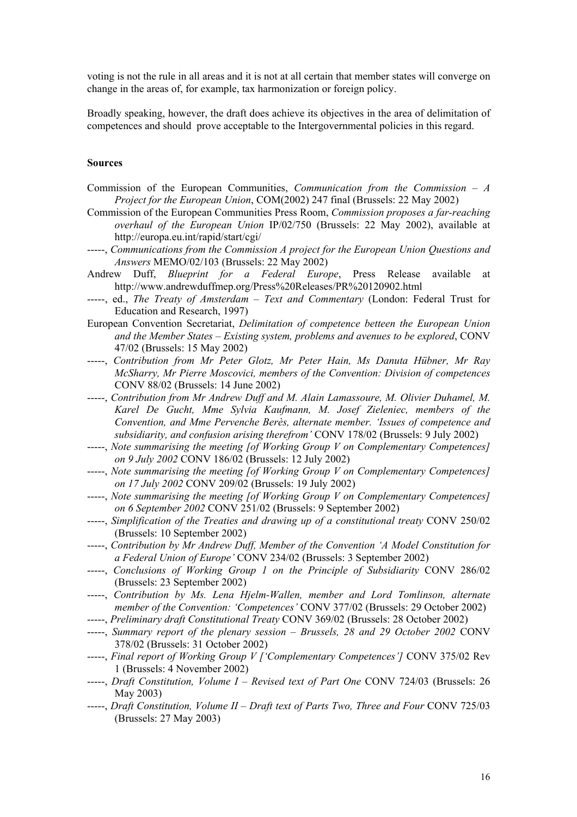voting is not the rule in all areas and it is not at all certain that member states will converge on change in the areas of, for example, tax harmonization or foreign policy.

Broadly speaking, however, the draft does achieve its objectives in the area of delimitation of competences and should prove acceptable to the Intergovernmental policies in this regard.

### **Sources**

- Commission of the European Communities, *Communication from the Commission A Project for the European Union*, COM(2002) 247 final (Brussels: 22 May 2002)
- Commission of the European Communities Press Room, *Commission proposes a far-reaching overhaul of the European Union* IP/02/750 (Brussels: 22 May 2002), available at http://europa.eu.int/rapid/start/cgi/
- -----, *Communications from the Commission A project for the European Union Questions and Answers* MEMO/02/103 (Brussels: 22 May 2002)
- Andrew Duff, *Blueprint for a Federal Europe*, Press Release available at http://www.andrewduffmep.org/Press%20Releases/PR%20120902.html
- -----, ed., *The Treaty of Amsterdam Text and Commentary* (London: Federal Trust for Education and Research, 1997)
- European Convention Secretariat, *Delimitation of competence betteen the European Union and the Member States – Existing system, problems and avenues to be explored*, CONV 47/02 (Brussels: 15 May 2002)
- -----, *Contribution from Mr Peter Glotz, Mr Peter Hain, Ms Danuta Hübner, Mr Ray McSharry, Mr Pierre Moscovici, members of the Convention: Division of competences* CONV 88/02 (Brussels: 14 June 2002)
- -----, *Contribution from Mr Andrew Duff and M. Alain Lamassoure, M. Olivier Duhamel, M. Karel De Gucht, Mme Sylvia Kaufmann, M. Josef Zieleniec, members of the Convention, and Mme Pervenche Berès, alternate member. 'Issues of competence and subsidiarity, and confusion arising therefrom'* CONV 178/02 (Brussels: 9 July 2002)
- -----, *Note summarising the meeting [of Working Group V on Complementary Competences] on 9 July 2002* CONV 186/02 (Brussels: 12 July 2002)
- -----, *Note summarising the meeting [of Working Group V on Complementary Competences] on 17 July 2002* CONV 209/02 (Brussels: 19 July 2002)
- -----, *Note summarising the meeting [of Working Group V on Complementary Competences] on 6 September 2002* CONV 251/02 (Brussels: 9 September 2002)
- -----, *Simplification of the Treaties and drawing up of a constitutional treaty* CONV 250/02 (Brussels: 10 September 2002)
- -----, *Contribution by Mr Andrew Duff, Member of the Convention 'A Model Constitution for a Federal Union of Europe'* CONV 234/02 (Brussels: 3 September 2002)
- -----, *Conclusions of Working Group 1 on the Principle of Subsidiarity* CONV 286/02 (Brussels: 23 September 2002)
- -----, *Contribution by Ms. Lena Hjelm-Wallen, member and Lord Tomlinson, alternate member of the Convention: 'Competences'* CONV 377/02 (Brussels: 29 October 2002)
- -----, *Preliminary draft Constitutional Treaty* CONV 369/02 (Brussels: 28 October 2002)
- -----, *Summary report of the plenary session Brussels, 28 and 29 October 2002* CONV 378/02 (Brussels: 31 October 2002)
- -----, *Final report of Working Group V ['Complementary Competences']* CONV 375/02 Rev 1 (Brussels: 4 November 2002)
- -----, *Draft Constitution, Volume I Revised text of Part One* CONV 724/03 (Brussels: 26 May 2003)
- -----, *Draft Constitution, Volume II Draft text of Parts Two, Three and Four* CONV 725/03 (Brussels: 27 May 2003)